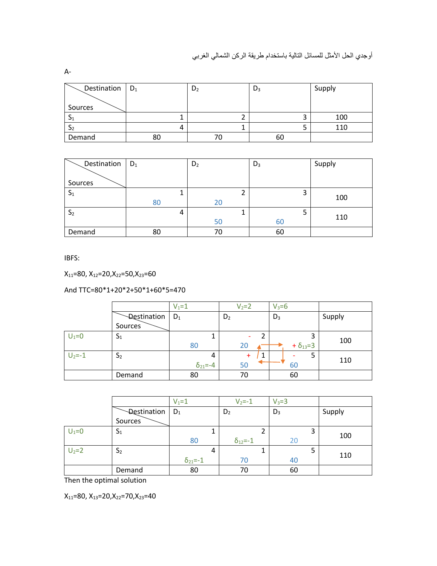| Destination $\vert D_1 \vert$ |    | D <sub>2</sub> | $D_3$ | Supply |
|-------------------------------|----|----------------|-------|--------|
|                               |    |                |       |        |
| Sources                       |    |                |       |        |
| -21                           |    |                |       | 100    |
| 22                            |    |                |       | 110    |
| Demand                        | 80 |                | 60    |        |

| Destination    | $D_1$ | D <sub>2</sub> |    | $D_3$ |   | Supply |
|----------------|-------|----------------|----|-------|---|--------|
|                |       |                |    |       |   |        |
| Sources        |       |                |    |       |   |        |
| $S_1$          |       |                |    |       | 3 |        |
|                | 80    |                | 20 |       |   | 100    |
| S <sub>2</sub> |       | 4              |    |       | כ |        |
|                |       |                | 50 | 60    |   | 110    |
| Demand         | 80    |                | 70 | 60    |   |        |

IBFS:

 $X_{11}=80, X_{12}=20, X_{22}=50, X_{23}=60$ 

And TTC=80\*1+20\*2+50\*1+60\*5=470

|            |                | $V_1 = 1$          | $V_2 = 2$      | $V_3 = 6$           |        |
|------------|----------------|--------------------|----------------|---------------------|--------|
|            | Destination    | $D_1$              | D <sub>2</sub> | $D_3$               | Supply |
|            | Sources        |                    |                |                     |        |
| $U_1 = 0$  | $\mathsf{a}_1$ | ┸                  |                | 3                   |        |
|            |                | 80                 | 20             | $+ \delta_{13} = 3$ | 100    |
| $U_2 = -1$ | S <sub>2</sub> | 4                  | 1              | 5                   |        |
|            |                | $\delta_{21} = -4$ | 50             | 60                  | 110    |
|            | Demand         | 80                 | 70             | 60                  |        |

|           |                | $V_1 = 1$          | $V_2 = -1$         | $V_3 = 3$ |        |
|-----------|----------------|--------------------|--------------------|-----------|--------|
|           | Destination    | $D_1$              | D <sub>2</sub>     | $D_3$     | Supply |
|           | Sources        |                    |                    |           |        |
| $U_1 = 0$ | $S_1$          |                    | ∍                  | 3         | 100    |
|           |                | 80                 | $\delta_{12} = -1$ | 20        |        |
| $U_2 = 2$ | S <sub>2</sub> | 4                  |                    | 5         |        |
|           |                | $\delta_{21} = -1$ | 70                 | 40        | 110    |
|           | Demand         | 80                 | 70                 | 60        |        |

Then the optimal solution

 $X_{11}=80, X_{13}=20, X_{22}=70, X_{23}=40$ 

A-